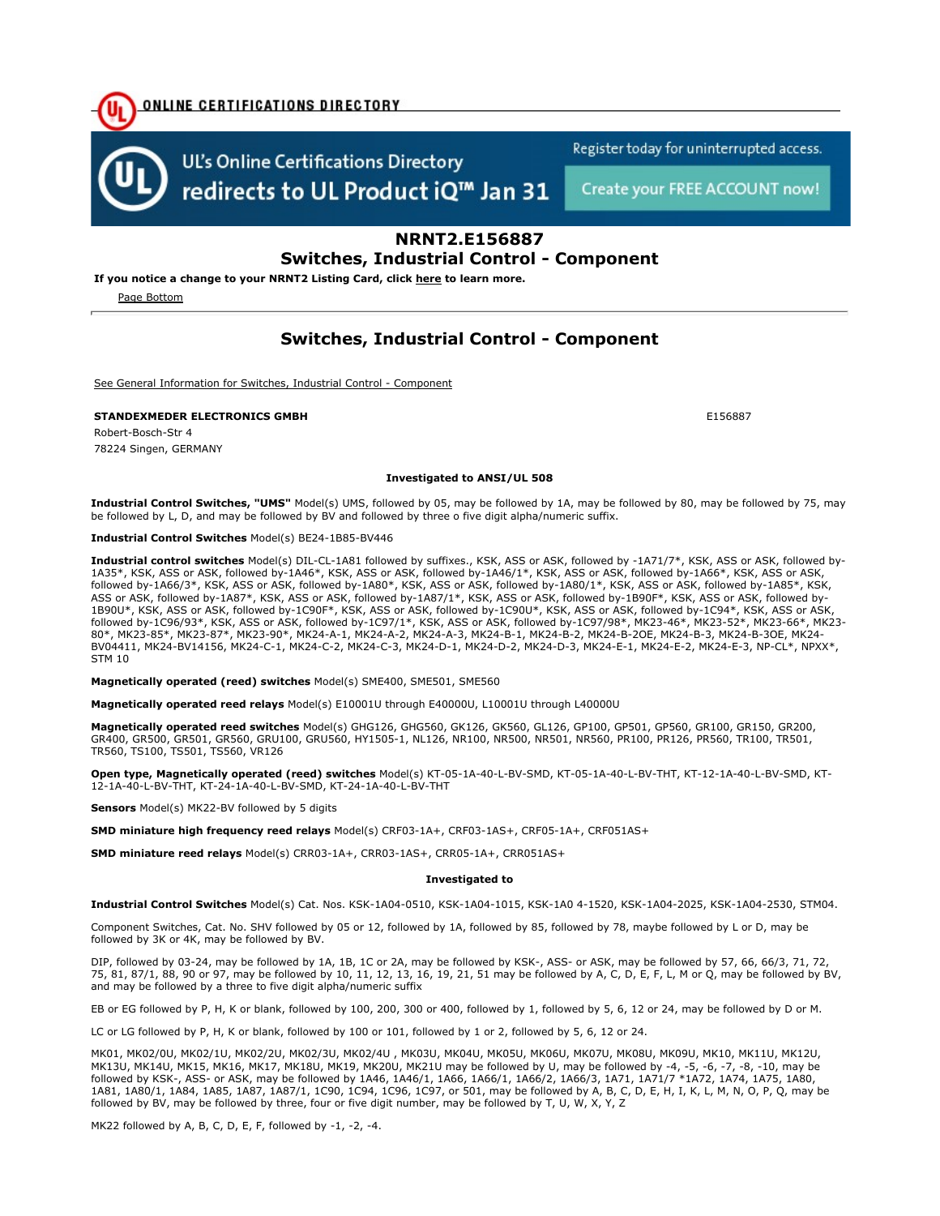

redirects to UL Product iQ<sup>™</sup> Jan 31

Register today for uninterrupted access.

Create your FREE ACCOUNT now!

### NRNT2.E156887 Switches, Industrial Control - Component

If you notice a change to your NRNT2 Listing Card, click here to learn more.

Page Bottom

## Switches, Industrial Control - Component

See General Information for Switches, Industrial Control - Component

STANDEXMEDER ELECTRONICS GMBH E15687

Robert-Bosch-Str 4 78224 Singen, GERMANY

#### Investigated to ANSI/UL 508

Industrial Control Switches, "UMS" Model(s) UMS, followed by 05, may be followed by 1A, may be followed by 80, may be followed by 75, may be followed by L, D, and may be followed by BV and followed by three o five digit alpha/numeric suffix.

#### Industrial Control Switches Model(s) BE24-1B85-BV446

Industrial control switches Model(s) DIL-CL-1A81 followed by suffixes., KSK, ASS or ASK, followed by -1A71/7\*, KSK, ASS or ASK, followed by-1A35\*, KSK, ASS or ASK, followed by-1A46\*, KSK, ASS or ASK, followed by-1A46/1\*, KSK, ASS or ASK, followed by-1A66\*, KSK, ASS or ASK, followed by-1A66/3\*, KSK, ASS or ASK, followed by-1A80\*, KSK, ASS or ASK, followed by-1A80/1\*, KSK, ASS or ASK, followed by-1A85\*, KSK, ASS or ASK, followed by-1A87\*, KSK, ASS or ASK, followed by-1A87/1\*, KSK, ASS or ASK, followed by-1B90F\*, KSK, ASS or ASK, followed by-1B90U\*, KSK, ASS or ASK, followed by-1C90F\*, KSK, ASS or ASK, followed by-1C90U\*, KSK, ASS or ASK, followed by-1C94\*, KSK, ASS or ASK, followed by-1C96/93\*, KSK, ASS or ASK, followed by-1C97/1\*, KSK, ASS or ASK, followed by-1C97/98\*, MK23-46\*, MK23-52\*, MK23-66\*, MK23- 80\*, MK23-85\*, MK23-87\*, MK23-90\*, MK24-A-1, MK24-A-2, MK24-A-3, MK24-B-1, MK24-B-2, MK24-B-2OE, MK24-B-3, MK24-B-3OE, MK24- BV04411, MK24-BV14156, MK24-C-1, MK24-C-2, MK24-C-3, MK24-D-1, MK24-D-2, MK24-D-3, MK24-E-1, MK24-E-2, MK24-E-3, NP-CL\*, NPXX\*, STM 10

Magnetically operated (reed) switches Model(s) SME400, SME501, SME560

Magnetically operated reed relays Model(s) E10001U through E40000U, L10001U through L40000U

Magnetically operated reed switches Model(s) GHG126, GHG560, GK126, GK560, GL126, GP100, GP501, GP560, GR100, GR150, GR200, GR400, GR500, GR501, GR560, GRU100, GRU560, HY1505-1, NL126, NR100, NR500, NR501, NR560, PR100, PR126, PR560, TR100, TR501, TR560, TS100, TS501, TS560, VR126

Open type, Magnetically operated (reed) switches Model(s) KT-05-1A-40-L-BV-SMD, KT-05-1A-40-L-BV-THT, KT-12-1A-40-L-BV-SMD, KT-12-1A-40-L-BV-THT, KT-24-1A-40-L-BV-SMD, KT-24-1A-40-L-BV-THT

Sensors Model(s) MK22-BV followed by 5 digits

SMD miniature high frequency reed relays Model(s) CRF03-1A+, CRF03-1AS+, CRF05-1A+, CRF051AS+

SMD miniature reed relays Model(s) CRR03-1A+, CRR03-1AS+, CRR05-1A+, CRR051AS+

#### Investigated to

Industrial Control Switches Model(s) Cat. Nos. KSK-1A04-0510, KSK-1A04-1015, KSK-1A0 4-1520, KSK-1A04-2025, KSK-1A04-2530, STM04.

Component Switches, Cat. No. SHV followed by 05 or 12, followed by 1A, followed by 85, followed by 78, maybe followed by L or D, may be followed by 3K or 4K, may be followed by BV.

DIP, followed by 03-24, may be followed by 1A, 1B, 1C or 2A, may be followed by KSK-, ASS- or ASK, may be followed by 57, 66, 66/3, 71, 72, 75, 81, 87/1, 88, 90 or 97, may be followed by 10, 11, 12, 13, 16, 19, 21, 51 may be followed by A, C, D, E, F, L, M or Q, may be followed by BV, and may be followed by a three to five digit alpha/numeric suffix

EB or EG followed by P, H, K or blank, followed by 100, 200, 300 or 400, followed by 1, followed by 5, 6, 12 or 24, may be followed by D or M.

LC or LG followed by P, H, K or blank, followed by 100 or 101, followed by 1 or 2, followed by 5, 6, 12 or 24.

MK01, MK02/0U, MK02/1U, MK02/2U, MK02/3U, MK02/4U , MK03U, MK04U, MK05U, MK06U, MK07U, MK08U, MK09U, MK10, MK11U, MK12U, MK13U, MK14U, MK15, MK16, MK17, MK18U, MK19, MK20U, MK21U may be followed by U, may be followed by -4, -5, -6, -7, -8, -10, may be followed by KSK-, ASS- or ASK, may be followed by 1A46, 1A46/1, 1A66, 1A66/1, 1A66/2, 1A66/3, 1A71, 1A71/7 \*1A72, 1A74, 1A75, 1A80, 1A81, 1A80/1, 1A84, 1A85, 1A87, 1A87/1, 1C90, 1C94, 1C96, 1C97, or 501, may be followed by A, B, C, D, E, H, I, K, L, M, N, O, P, Q, may be followed by BV, may be followed by three, four or five digit number, may be followed by T, U, W, X, Y, Z

MK22 followed by A, B, C, D, E, F, followed by -1, -2, -4.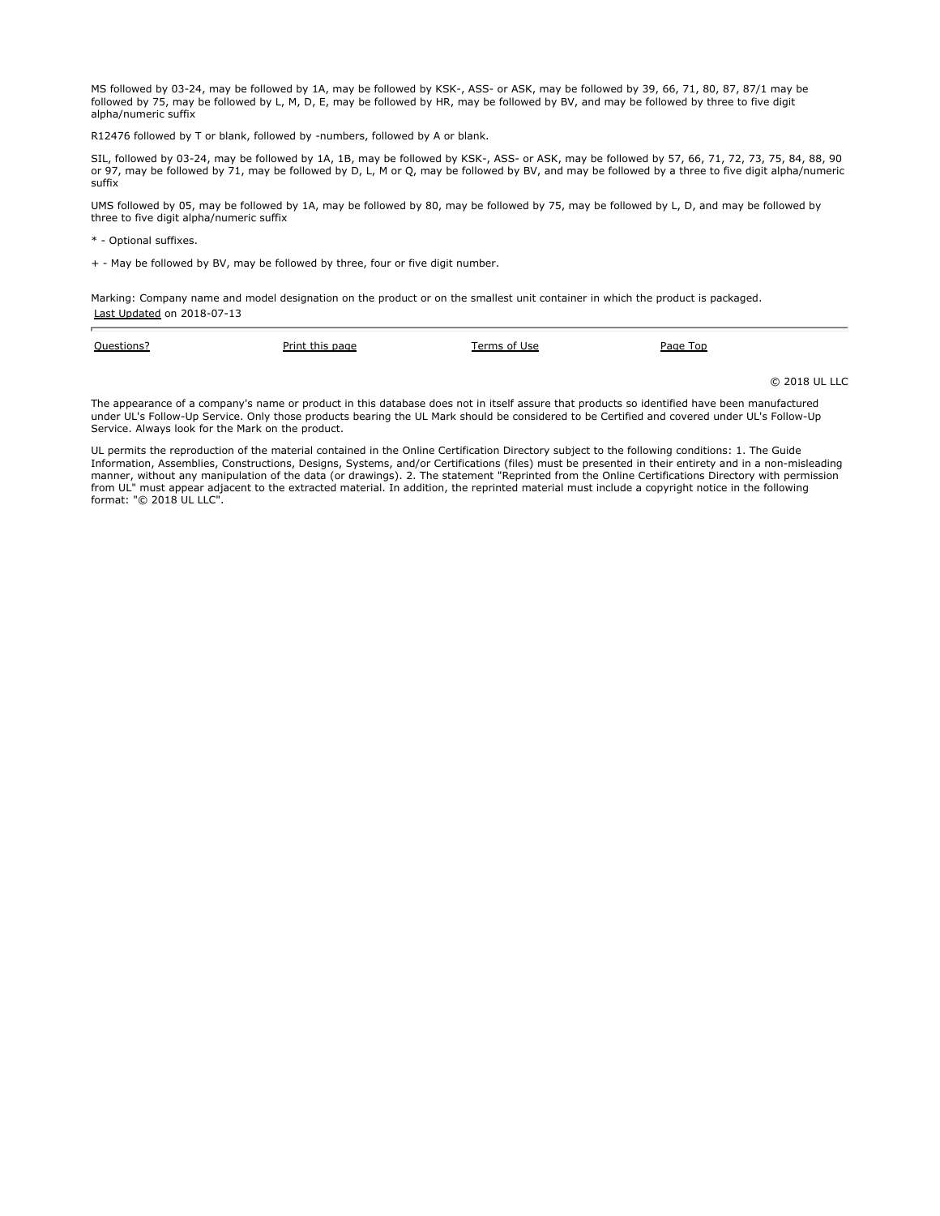MS followed by 03-24, may be followed by 1A, may be followed by KSK-, ASS- or ASK, may be followed by 39, 66, 71, 80, 87, 87/1 may be followed by 75, may be followed by L, M, D, E, may be followed by HR, may be followed by BV, and may be followed by three to five digit alpha/numeric suffix

R12476 followed by T or blank, followed by -numbers, followed by A or blank.

SIL, followed by 03-24, may be followed by 1A, 1B, may be followed by KSK-, ASS- or ASK, may be followed by 57, 66, 71, 72, 73, 75, 84, 88, 90 or 97, may be followed by 71, may be followed by D, L, M or Q, may be followed by BV, and may be followed by a three to five digit alpha/numeric suffix

UMS followed by 05, may be followed by 1A, may be followed by 80, may be followed by 75, may be followed by L, D, and may be followed by three to five digit alpha/numeric suffix

\* - Optional suffixes.

+ - May be followed by BV, may be followed by three, four or five digit number.

Marking: Company name and model designation on the product or on the smallest unit container in which the product is packaged. Last Updated on 2018-07-13

| Questions? | Print this page | Terms of Use | Page Top |               |
|------------|-----------------|--------------|----------|---------------|
|            |                 |              |          | © 2018 UL LLC |

The appearance of a company's name or product in this database does not in itself assure that products so identified have been manufactured under UL's Follow-Up Service. Only those products bearing the UL Mark should be considered to be Certified and covered under UL's Follow-Up Service. Always look for the Mark on the product.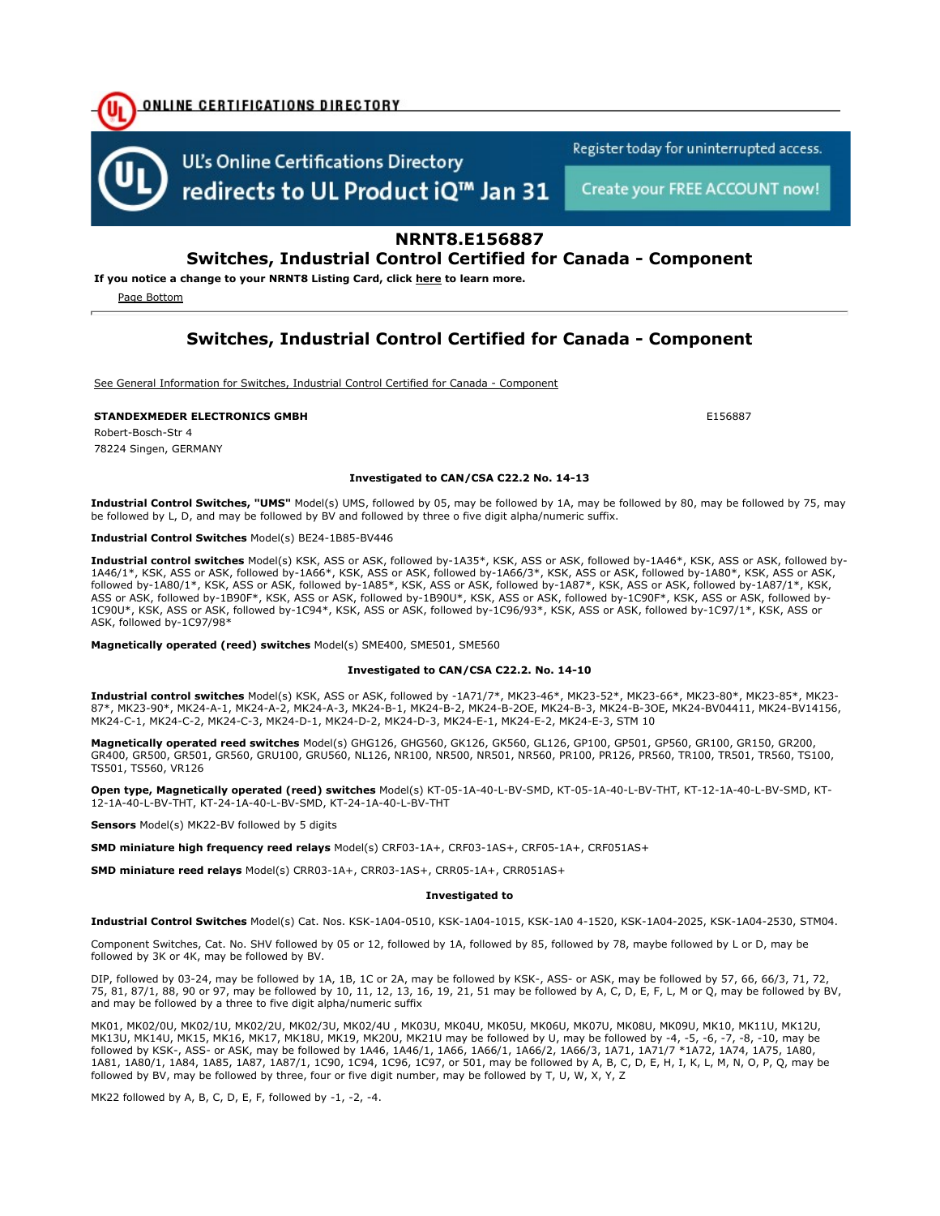

Register today for uninterrupted access.

Create your FREE ACCOUNT now!

### NRNT8.E156887

### Switches, Industrial Control Certified for Canada - Component

If you notice a change to your NRNT8 Listing Card, click here to learn more.

<u>ONLINE CERTIFICATIONS DIRECTORY</u>

Page Bottom

### Switches, Industrial Control Certified for Canada - Component

See General Information for Switches, Industrial Control Certified for Canada - Component

#### STANDEXMEDER ELECTRONICS GMBH E15687

Robert-Bosch-Str 4 78224 Singen, GERMANY

#### Investigated to CAN/CSA C22.2 No. 14-13

Industrial Control Switches, "UMS" Model(s) UMS, followed by 05, may be followed by 1A, may be followed by 80, may be followed by 75, may be followed by L, D, and may be followed by BV and followed by three o five digit alpha/numeric suffix.

#### Industrial Control Switches Model(s) BE24-1B85-BV446

Industrial control switches Model(s) KSK, ASS or ASK, followed by-1A35\*, KSK, ASS or ASK, followed by-1A46\*, KSK, ASS or ASK, followed by-1A46/1\*, KSK, ASS or ASK, followed by-1A66\*, KSK, ASS or ASK, followed by-1A66/3\*, KSK, ASS or ASK, followed by-1A80\*, KSK, ASS or ASK, followed by-1A80/1\*, KSK, ASS or ASK, followed by-1A85\*, KSK, ASS or ASK, followed by-1A87\*, KSK, ASS or ASK, followed by-1A87/1\*, KSK, ASS or ASK, followed by-1B90F\*, KSK, ASS or ASK, followed by-1B90U\*, KSK, ASS or ASK, followed by-1C90F\*, KSK, ASS or ASK, followed by-1C90U\*, KSK, ASS or ASK, followed by-1C94\*, KSK, ASS or ASK, followed by-1C96/93\*, KSK, ASS or ASK, followed by-1C97/1\*, KSK, ASS or ASK, followed by-1C97/98\*

Magnetically operated (reed) switches Model(s) SME400, SME501, SME560

#### Investigated to CAN/CSA C22.2. No. 14-10

Industrial control switches Model(s) KSK, ASS or ASK, followed by -1A71/7\*, MK23-46\*, MK23-52\*, MK23-66\*, MK23-80\*, MK23-85\*, MK23-87\*, MK23-90\*, MK24-A-1, MK24-A-2, MK24-A-3, MK24-B-1, MK24-B-2, MK24-B-2OE, MK24-B-3, MK24-B-3OE, MK24-BV04411, MK24-BV14156, MK24-C-1, MK24-C-2, MK24-C-3, MK24-D-1, MK24-D-2, MK24-D-3, MK24-E-1, MK24-E-2, MK24-E-3, STM 10

Magnetically operated reed switches Model(s) GHG126, GHG560, GK126, GK560, GL126, GP100, GP501, GP560, GR100, GR150, GR200, GR400, GR500, GR501, GR560, GRU100, GRU560, NL126, NR100, NR500, NR501, NR560, PR100, PR126, PR560, TR100, TR501, TR560, TS100, TS501, TS560, VR126

Open type, Magnetically operated (reed) switches Model(s) KT-05-1A-40-L-BV-SMD, KT-05-1A-40-L-BV-THT, KT-12-1A-40-L-BV-SMD, KT-12-1A-40-L-BV-THT, KT-24-1A-40-L-BV-SMD, KT-24-1A-40-L-BV-THT

Sensors Model(s) MK22-BV followed by 5 digits

SMD miniature high frequency reed relays Model(s) CRF03-1A+, CRF03-1AS+, CRF05-1A+, CRF051AS+

SMD miniature reed relays Model(s) CRR03-1A+, CRR03-1AS+, CRR05-1A+, CRR051AS+

#### Investigated to

Industrial Control Switches Model(s) Cat. Nos. KSK-1A04-0510, KSK-1A04-1015, KSK-1A0 4-1520, KSK-1A04-2025, KSK-1A04-2530, STM04.

Component Switches, Cat. No. SHV followed by 05 or 12, followed by 1A, followed by 85, followed by 78, maybe followed by L or D, may be followed by 3K or 4K, may be followed by BV.

DIP, followed by 03-24, may be followed by 1A, 1B, 1C or 2A, may be followed by KSK-, ASS- or ASK, may be followed by 57, 66, 66/3, 71, 72, 75, 81, 87/1, 88, 90 or 97, may be followed by 10, 11, 12, 13, 16, 19, 21, 51 may be followed by A, C, D, E, F, L, M or Q, may be followed by BV, and may be followed by a three to five digit alpha/numeric suffix

MK01, MK02/0U, MK02/1U, MK02/2U, MK02/3U, MK02/4U , MK03U, MK04U, MK05U, MK06U, MK07U, MK08U, MK09U, MK10, MK11U, MK12U, MK13U, MK14U, MK15, MK16, MK17, MK18U, MK19, MK20U, MK21U may be followed by U, may be followed by -4, -5, -6, -7, -8, -10, may be followed by KSK-, ASS- or ASK, may be followed by 1A46, 1A46/1, 1A66, 1A66/1, 1A66/2, 1A66/3, 1A71, 1A71/7 \*1A72, 1A74, 1A75, 1A80, 1A81, 1A80/1, 1A84, 1A85, 1A87, 1A87/1, 1C90, 1C94, 1C96, 1C97, or 501, may be followed by A, B, C, D, E, H, I, K, L, M, N, O, P, Q, may be followed by BV, may be followed by three, four or five digit number, may be followed by T, U, W, X, Y, Z

MK22 followed by A, B, C, D, E, F, followed by -1, -2, -4.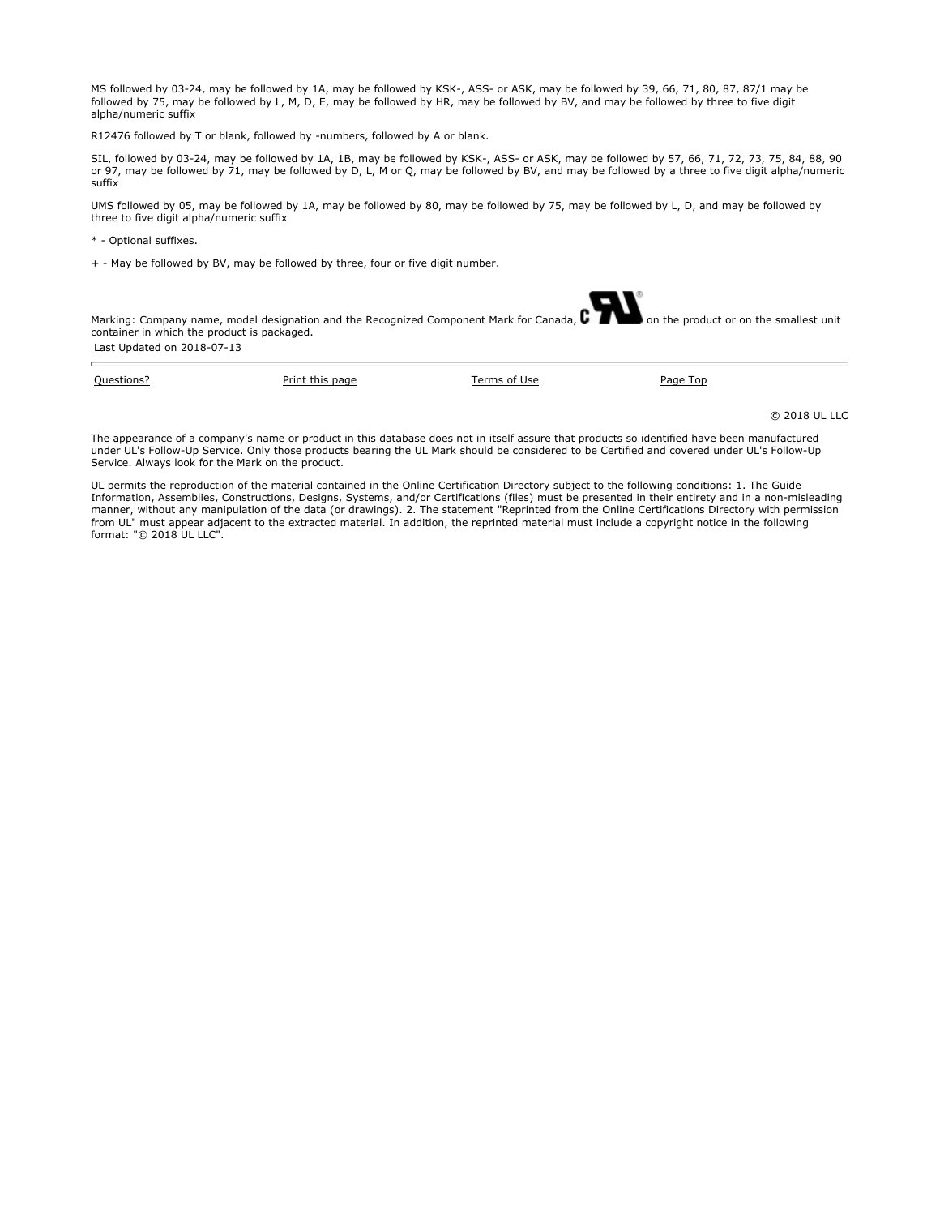MS followed by 03-24, may be followed by 1A, may be followed by KSK-, ASS- or ASK, may be followed by 39, 66, 71, 80, 87, 87/1 may be followed by 75, may be followed by L, M, D, E, may be followed by HR, may be followed by BV, and may be followed by three to five digit alpha/numeric suffix

R12476 followed by T or blank, followed by -numbers, followed by A or blank.

SIL, followed by 03-24, may be followed by 1A, 1B, may be followed by KSK-, ASS- or ASK, may be followed by 57, 66, 71, 72, 73, 75, 84, 88, 90 or 97, may be followed by 71, may be followed by D, L, M or Q, may be followed by BV, and may be followed by a three to five digit alpha/numeric suffix

UMS followed by 05, may be followed by 1A, may be followed by 80, may be followed by 75, may be followed by L, D, and may be followed by three to five digit alpha/numeric suffix

\* - Optional suffixes.

+ - May be followed by BV, may be followed by three, four or five digit number.

Marking: Company name, model designation and the Recognized Component Mark for Canada,  $\mathbf{C}$  **The subset of the product or on the smallest unit** container in which the product is packaged. Last Updated on 2018-07-13

| Ouestions? | Print this page | Terms of<br>l Ice | Page Top |
|------------|-----------------|-------------------|----------|
|            |                 |                   |          |

© 2018 UL LLC

The appearance of a company's name or product in this database does not in itself assure that products so identified have been manufactured under UL's Follow-Up Service. Only those products bearing the UL Mark should be considered to be Certified and covered under UL's Follow-Up Service. Always look for the Mark on the product.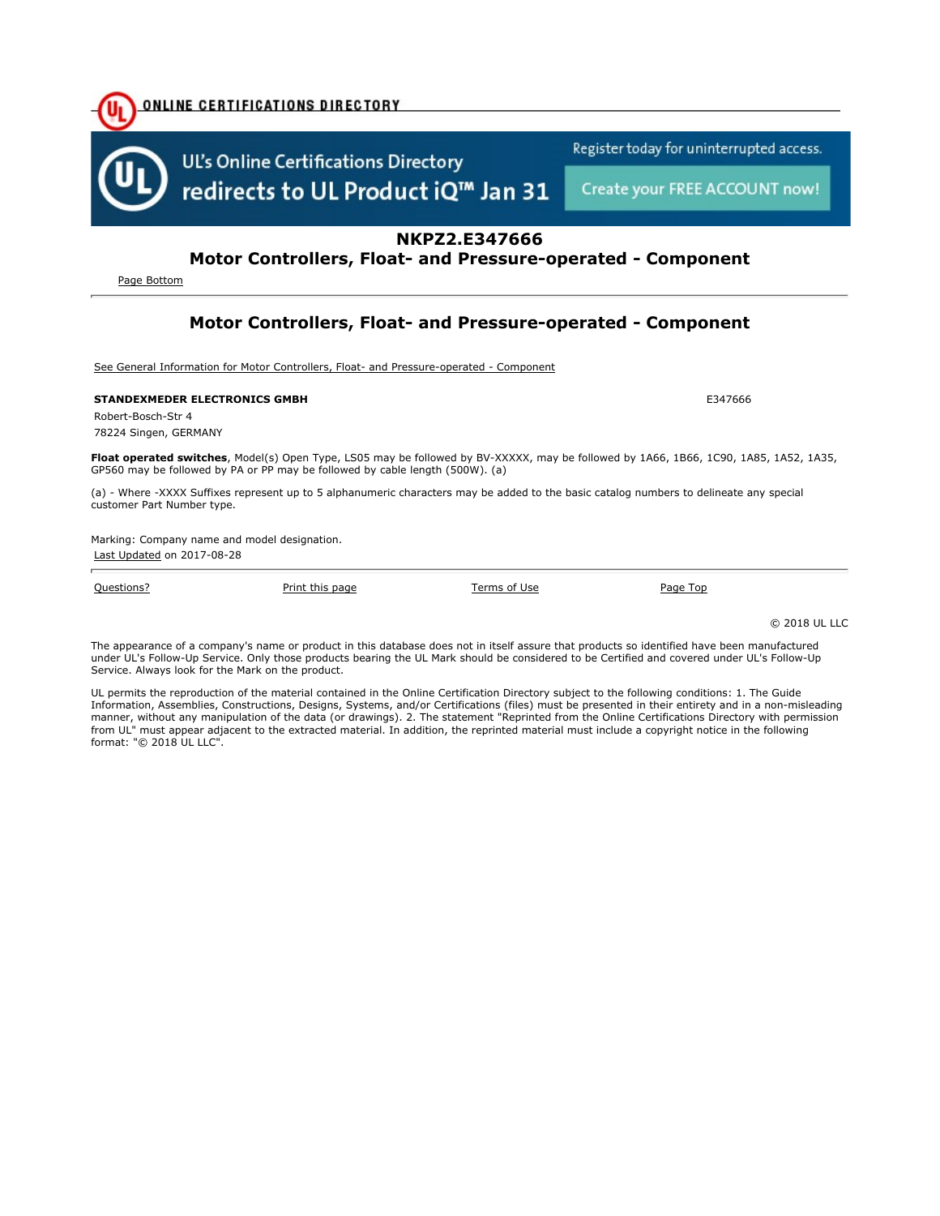

Page Bottom

# Motor Controllers, Float- and Pressure-operated - Component

See General Information for Motor Controllers, Float- and Pressure-operated - Component

#### STANDEXMEDER ELECTRONICS GMBH E347666

Robert-Bosch-Str 4 78224 Singen, GERMANY

Float operated switches, Model(s) Open Type, LS05 may be followed by BV-XXXXX, may be followed by 1A66, 1B66, 1C90, 1A85, 1A52, 1A35, GP560 may be followed by PA or PP may be followed by cable length (500W). (a)

(a) - Where -XXXX Suffixes represent up to 5 alphanumeric characters may be added to the basic catalog numbers to delineate any special customer Part Number type.

Marking: Company name and model designation. Last Updated on 2017-08-28

Questions? Print this page Terms of Use Page Top

© 2018 UL LLC

The appearance of a company's name or product in this database does not in itself assure that products so identified have been manufactured under UL's Follow-Up Service. Only those products bearing the UL Mark should be considered to be Certified and covered under UL's Follow-Up Service. Always look for the Mark on the product.